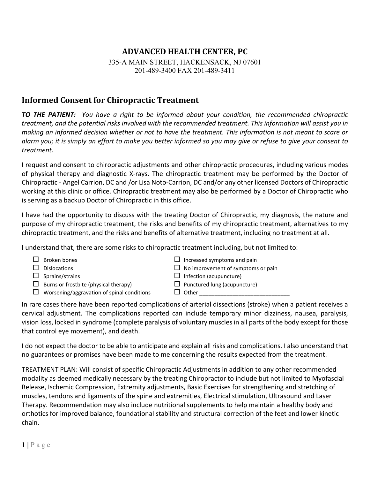## **ADVANCED HEALTH CENTER, PC**

335-A MAIN STREET, HACKENSACK, NJ 07601 201-489-3400 FAX 201-489-3411

## **Informed Consent for Chiropractic Treatment**

*TO THE PATIENT: You have a right to be informed about your condition, the recommended chiropractic treatment, and the potential risks involved with the recommended treatment. This information will assist you in making an informed decision whether or not to have the treatment. This information is not meant to scare or alarm you; it is simply an effort to make you better informed so you may give or refuse to give your consent to treatment.*

I request and consent to chiropractic adjustments and other chiropractic procedures, including various modes of physical therapy and diagnostic X-rays. The chiropractic treatment may be performed by the Doctor of Chiropractic - Angel Carrion, DC and /or Lisa Noto-Carrion, DC and/or any other licensed Doctors of Chiropractic working at this clinic or office. Chiropractic treatment may also be performed by a Doctor of Chiropractic who is serving as a backup Doctor of Chiropractic in this office.

I have had the opportunity to discuss with the treating Doctor of Chiropractic, my diagnosis, the nature and purpose of my chiropractic treatment, the risks and benefits of my chiropractic treatment, alternatives to my chiropractic treatment, and the risks and benefits of alternative treatment, including no treatment at all.

I understand that, there are some risks to chiropractic treatment including, but not limited to:

- 
- 
- 
- $\Box$  Burns or frostbite (physical therapy)  $\Box$  Punctured lung (acupuncture)
- $\Box$  Worsening/aggravation of spinal conditions  $\Box$  Other
- $\Box$  Broken bones  $\Box$  Increased symptoms and pain
- $\Box$  Dislocations  $\Box$  No improvement of symptoms or pain
- $\Box$  Sprains/strains  $\Box$  Infection (acupuncture)
	-
	-

In rare cases there have been reported complications of arterial dissections (stroke) when a patient receives a cervical adjustment. The complications reported can include temporary minor dizziness, nausea, paralysis, vision loss, locked in syndrome (complete paralysis of voluntary muscles in all parts of the body except for those that control eye movement), and death.

I do not expect the doctor to be able to anticipate and explain all risks and complications. I also understand that no guarantees or promises have been made to me concerning the results expected from the treatment.

TREATMENT PLAN: Will consist of specific Chiropractic Adjustments in addition to any other recommended modality as deemed medically necessary by the treating Chiropractor to include but not limited to Myofascial Release, Ischemic Compression, Extremity adjustments, Basic Exercises for strengthening and stretching of muscles, tendons and ligaments of the spine and extremities, Electrical stimulation, Ultrasound and Laser Therapy. Recommendation may also include nutritional supplements to help maintain a healthy body and orthotics for improved balance, foundational stability and structural correction of the feet and lower kinetic chain.